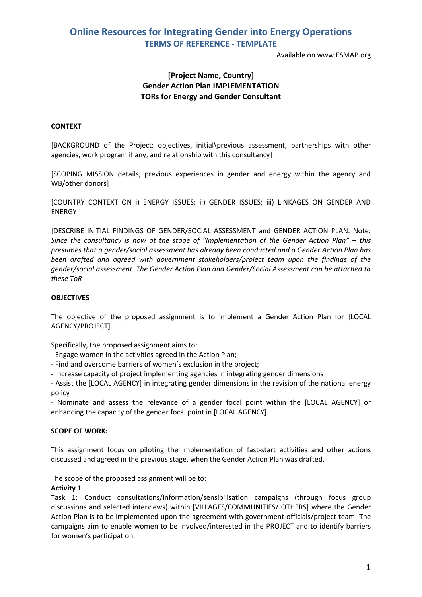Available on www.ESMAP.org

## **[Project Name, Country] Gender Action Plan IMPLEMENTATION TORs for Energy and Gender Consultant**

### **CONTEXT**

[BACKGROUND of the Project: objectives, initial\previous assessment, partnerships with other agencies, work program if any, and relationship with this consultancy]

[SCOPING MISSION details, previous experiences in gender and energy within the agency and WB/other donors]

[COUNTRY CONTEXT ON i) ENERGY ISSUES; ii) GENDER ISSUES; iii) LINKAGES ON GENDER AND ENERGY]

[DESCRIBE INITIAL FINDINGS OF GENDER/SOCIAL ASSESSMENT and GENDER ACTION PLAN. Note: *Since the consultancy is now at the stage of "Implementation of the Gender Action Plan" – this presumes that a gender/social assessment has already been conducted and a Gender Action Plan has been drafted and agreed with government stakeholders/project team upon the findings of the gender/social assessment. The Gender Action Plan and Gender/Social Assessment can be attached to these ToR*

### **OBJECTIVES**

The objective of the proposed assignment is to implement a Gender Action Plan for [LOCAL AGENCY/PROJECT].

Specifically, the proposed assignment aims to:

- Engage women in the activities agreed in the Action Plan;

- Find and overcome barriers of women's exclusion in the project;

- Increase capacity of project implementing agencies in integrating gender dimensions

- Assist the [LOCAL AGENCY] in integrating gender dimensions in the revision of the national energy policy

- Nominate and assess the relevance of a gender focal point within the [LOCAL AGENCY] or enhancing the capacity of the gender focal point in [LOCAL AGENCY].

### **SCOPE OF WORK:**

This assignment focus on piloting the implementation of fast-start activities and other actions discussed and agreed in the previous stage, when the Gender Action Plan was drafted.

The scope of the proposed assignment will be to:

### **Activity 1**

Task 1: Conduct consultations/information/sensibilisation campaigns (through focus group discussions and selected interviews) within [VILLAGES/COMMUNITIES/ OTHERS] where the Gender Action Plan is to be implemented upon the agreement with government officials/project team. The campaigns aim to enable women to be involved/interested in the PROJECT and to identify barriers for women's participation.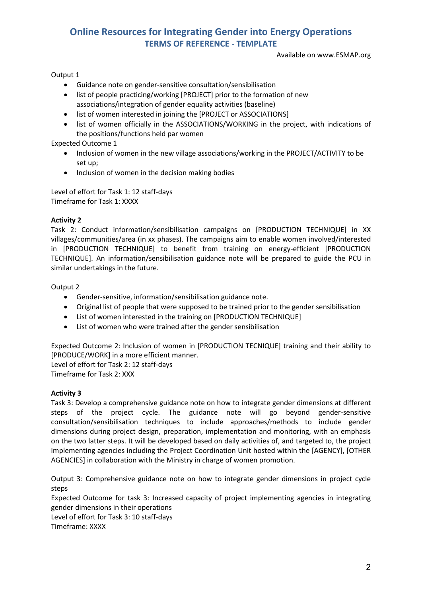# **Online Resources for Integrating Gender into Energy Operations TERMS OF REFERENCE - TEMPLATE**

Available on www.ESMAP.org

### Output 1

- Guidance note on gender-sensitive consultation/sensibilisation
- list of people practicing/working [PROJECT] prior to the formation of new associations/integration of gender equality activities (baseline)
- list of women interested in joining the [PROJECT or ASSOCIATIONS]
- list of women officially in the ASSOCIATIONS/WORKING in the project, with indications of the positions/functions held par women

Expected Outcome 1

- Inclusion of women in the new village associations/working in the PROJECT/ACTIVITY to be set up;
- Inclusion of women in the decision making bodies

Level of effort for Task 1: 12 staff-days Timeframe for Task 1: XXXX

### **Activity 2**

Task 2: Conduct information/sensibilisation campaigns on [PRODUCTION TECHNIQUE] in XX villages/communities/area (in xx phases). The campaigns aim to enable women involved/interested in [PRODUCTION TECHNIQUE] to benefit from training on energy-efficient [PRODUCTION TECHNIQUE]. An information/sensibilisation guidance note will be prepared to guide the PCU in similar undertakings in the future.

Output 2

- Gender-sensitive, information/sensibilisation guidance note.
- Original list of people that were supposed to be trained prior to the gender sensibilisation
- List of women interested in the training on [PRODUCTION TECHNIQUE]
- List of women who were trained after the gender sensibilisation

Expected Outcome 2: Inclusion of women in [PRODUCTION TECNIQUE] training and their ability to [PRODUCE/WORK] in a more efficient manner.

Level of effort for Task 2: 12 staff-days Timeframe for Task 2: XXX

### **Activity 3**

Task 3: Develop a comprehensive guidance note on how to integrate gender dimensions at different steps of the project cycle. The guidance note will go beyond gender-sensitive consultation/sensibilisation techniques to include approaches/methods to include gender dimensions during project design, preparation, implementation and monitoring, with an emphasis on the two latter steps. It will be developed based on daily activities of, and targeted to, the project implementing agencies including the Project Coordination Unit hosted within the [AGENCY], [OTHER AGENCIES] in collaboration with the Ministry in charge of women promotion.

Output 3: Comprehensive guidance note on how to integrate gender dimensions in project cycle steps

Expected Outcome for task 3: Increased capacity of project implementing agencies in integrating gender dimensions in their operations

Level of effort for Task 3: 10 staff-days

Timeframe: XXXX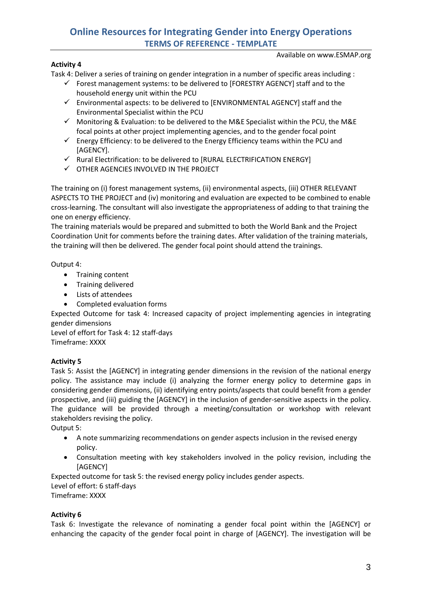# **Online Resources for Integrating Gender into Energy Operations TERMS OF REFERENCE - TEMPLATE**

Available on www.ESMAP.org

## **Activity 4**

Task 4: Deliver a series of training on gender integration in a number of specific areas including :

- $\checkmark$  Forest management systems: to be delivered to [FORESTRY AGENCY] staff and to the household energy unit within the PCU
- $\checkmark$  Environmental aspects: to be delivered to [ENVIRONMENTAL AGENCY] staff and the Environmental Specialist within the PCU
- $\checkmark$  Monitoring & Evaluation: to be delivered to the M&E Specialist within the PCU, the M&E focal points at other project implementing agencies, and to the gender focal point
- $\checkmark$  Energy Efficiency: to be delivered to the Energy Efficiency teams within the PCU and [AGENCY].
- $\checkmark$  Rural Electrification: to be delivered to [RURAL ELECTRIFICATION ENERGY]
- $\checkmark$  OTHER AGENCIES INVOLVED IN THE PROJECT

The training on (i) forest management systems, (ii) environmental aspects, (iii) OTHER RELEVANT ASPECTS TO THE PROJECT and (iv) monitoring and evaluation are expected to be combined to enable cross-learning. The consultant will also investigate the appropriateness of adding to that training the one on energy efficiency.

The training materials would be prepared and submitted to both the World Bank and the Project Coordination Unit for comments before the training dates. After validation of the training materials, the training will then be delivered. The gender focal point should attend the trainings.

Output 4:

- Training content
- Training delivered
- Lists of attendees
- Completed evaluation forms

Expected Outcome for task 4: Increased capacity of project implementing agencies in integrating gender dimensions

Level of effort for Task 4: 12 staff-days Timeframe: XXXX

## **Activity 5**

Task 5: Assist the [AGENCY] in integrating gender dimensions in the revision of the national energy policy. The assistance may include (i) analyzing the former energy policy to determine gaps in considering gender dimensions, (ii) identifying entry points/aspects that could benefit from a gender prospective, and (iii) guiding the [AGENCY] in the inclusion of gender-sensitive aspects in the policy. The guidance will be provided through a meeting/consultation or workshop with relevant stakeholders revising the policy.

Output 5:

- A note summarizing recommendations on gender aspects inclusion in the revised energy policy.
- Consultation meeting with key stakeholders involved in the policy revision, including the [AGENCY]

Expected outcome for task 5: the revised energy policy includes gender aspects.

Level of effort: 6 staff-days

Timeframe: XXXX

## **Activity 6**

Task 6: Investigate the relevance of nominating a gender focal point within the [AGENCY] or enhancing the capacity of the gender focal point in charge of [AGENCY]. The investigation will be